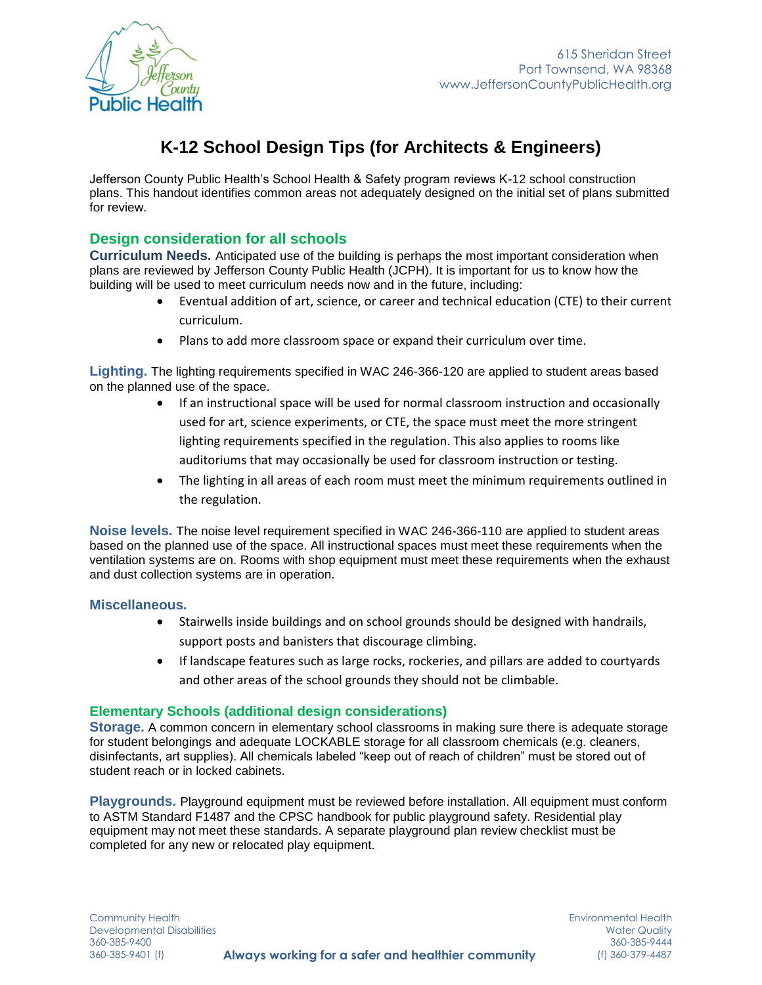



# **K-12 School Design Tips (for Architects & Engineers)**

Jefferson County Public Health's School Health & Safety program reviews K-12 school construction plans. This handout identifies common areas not adequately designed on the initial set of plans submitted for review.

## **Design consideration for all schools**

**Curriculum Needs.** Anticipated use of the building is perhaps the most important consideration when plans are reviewed by Jefferson County Public Health (JCPH). It is important for us to know how the building will be used to meet curriculum needs now and in the future, including:

- Eventual addition of art, science, or career and technical education (CTE) to their current curriculum.
- Plans to add more classroom space or expand their curriculum over time.

**Lighting.** The lighting requirements specified in WAC 246-366-120 are applied to student areas based on the planned use of the space.

- If an instructional space will be used for normal classroom instruction and occasionally used for art, science experiments, or CTE, the space must meet the more stringent lighting requirements specified in the regulation. This also applies to rooms like auditoriums that may occasionally be used for classroom instruction or testing.
- The lighting in all areas of each room must meet the minimum requirements outlined in the regulation.

**Noise levels.** The noise level requirement specified in WAC 246-366-110 are applied to student areas based on the planned use of the space. All instructional spaces must meet these requirements when the ventilation systems are on. Rooms with shop equipment must meet these requirements when the exhaust and dust collection systems are in operation.

### **Miscellaneous.**

- Stairwells inside buildings and on school grounds should be designed with handrails, support posts and banisters that discourage climbing.
- If landscape features such as large rocks, rockeries, and pillars are added to courtyards and other areas of the school grounds they should not be climbable.

### **Elementary Schools (additional design considerations)**

**Storage.** A common concern in elementary school classrooms in making sure there is adequate storage for student belongings and adequate LOCKABLE storage for all classroom chemicals (e.g. cleaners, disinfectants, art supplies). All chemicals labeled "keep out of reach of children" must be stored out of student reach or in locked cabinets.

**Playgrounds.** Playground equipment must be reviewed before installation. All equipment must conform to ASTM Standard F1487 and the CPSC handbook for public playground safety. Residential play equipment may not meet these standards. A separate playground plan review checklist must be completed for any new or relocated play equipment.